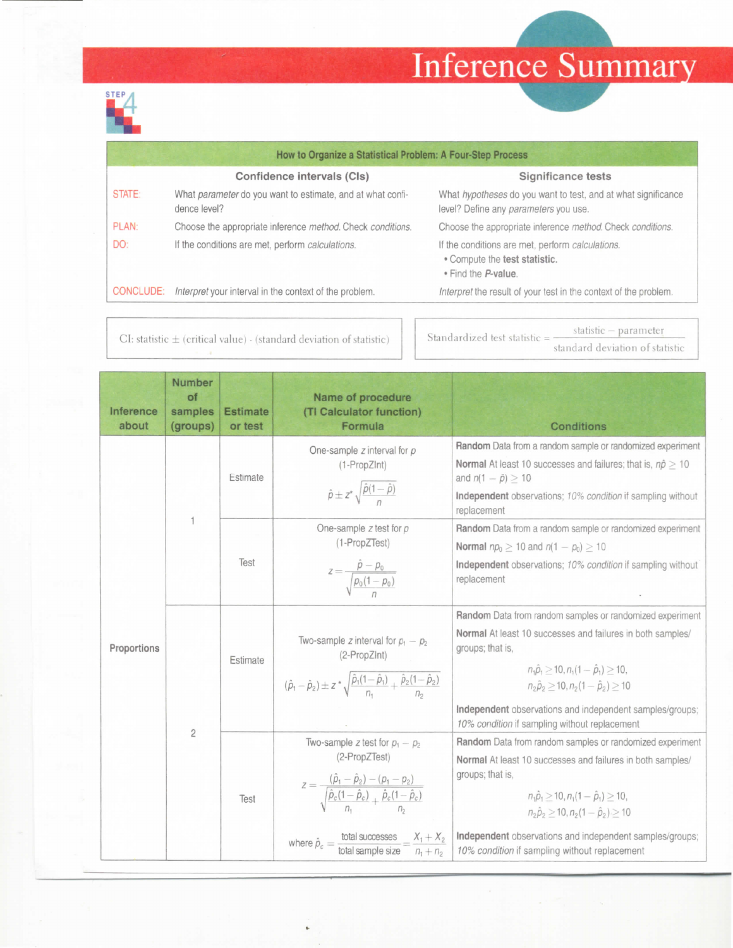## Inference Summary



|                  | How to Organize a Statistical Problem: A Four-Step Process                 |                                                                                                          |
|------------------|----------------------------------------------------------------------------|----------------------------------------------------------------------------------------------------------|
|                  | Confidence intervals (Cls)                                                 | Significance tests                                                                                       |
| STATE:           | What parameter do you want to estimate, and at what confi-<br>dence level? | What hypotheses do you want to test, and at what significance<br>level? Define any parameters you use.   |
| PLAN:            | Choose the appropriate inference method. Check conditions.                 | Choose the appropriate inference method. Check conditions.                                               |
| DO:              | If the conditions are met, perform calculations.                           | If the conditions are met, perform calculations.<br>• Compute the test statistic.<br>. Find the P-value. |
| <b>CONCLUDE:</b> | Interpret your interval in the context of the problem.                     | Interpret the result of your test in the context of the problem.                                         |
|                  |                                                                            |                                                                                                          |

 $CI:$  statistic  $\pm$  (critical value)  $\cdot$  (standard deviation of statistic)

Standardized test statistic  $=$  statistic  $-$  parameter standard deviation of statistic

| Inference<br>about | Number<br>of<br>samples<br>(groups) | <b>Estimate</b><br>or test | Name of procedure<br>(TI Calculator function)<br>Formula                                                                                                                                                                                                                                                             | <b>Conditions</b>                                                                                                                                                                                                                                                                                                                                    |
|--------------------|-------------------------------------|----------------------------|----------------------------------------------------------------------------------------------------------------------------------------------------------------------------------------------------------------------------------------------------------------------------------------------------------------------|------------------------------------------------------------------------------------------------------------------------------------------------------------------------------------------------------------------------------------------------------------------------------------------------------------------------------------------------------|
| Proportions        |                                     | Estimate                   | One-sample $z$ interval for $p$<br>(1-PropZInt)<br>$\hat{\rho} \pm z^* \sqrt{\frac{\hat{\rho}(1-\hat{\rho})}{n}}$                                                                                                                                                                                                    | Random Data from a random sample or randomized experiment<br><b>Normal</b> At least 10 successes and failures; that is, $n\hat{p} \ge 10$<br>and $n(1 - \hat{p}) \geq 10$<br>Independent observations; 10% condition if sampling without<br>replacement                                                                                              |
|                    |                                     |                            | One-sample $z$ test for $p$<br>(1-PropZTest)                                                                                                                                                                                                                                                                         | Random Data from a random sample or randomized experiment<br><b>Normal</b> $np_0 \ge 10$ and $n(1 - p_0) > 10$                                                                                                                                                                                                                                       |
|                    |                                     | Test                       | $z = \frac{p - p_0}{\sqrt{p_0(1 - p_0)}}$                                                                                                                                                                                                                                                                            | Independent observations; 10% condition if sampling without<br>replacement                                                                                                                                                                                                                                                                           |
|                    |                                     | Estimate                   | Two-sample z interval for $p_1 - p_2$<br>(2-PropZInt)<br>$(\hat{\rho}_1 - \hat{\rho}_2) \pm z^* \sqrt{\frac{\hat{\rho}_1(1-\hat{\rho}_1)}{n} + \frac{\hat{\rho}_2(1-\hat{\rho}_2)}{n}}$                                                                                                                              | Random Data from random samples or randomized experiment<br>Normal At least 10 successes and failures in both samples/<br>groups; that is,<br>$n_1\hat{p}_1 > 10, n_1(1-\hat{p}_1) > 10,$<br>$n_2\hat{p}_2 > 10, n_2(1-\hat{p}_2) > 10$<br>Independent observations and independent samples/groups;<br>10% condition if sampling without replacement |
|                    | $\overline{2}$                      | Test                       | Two-sample z test for $p_1 - p_2$<br>(2-PropZTest)<br>$z = \frac{(\rho_1 - \rho_2) - (\rho_1 - \rho_2)}{\sqrt{\frac{\hat{\rho}_c(1 - \hat{\rho}_c)}{n} + \frac{\hat{\rho}_c(1 - \hat{\rho}_c)}{n}}}$<br>where $\hat{\rho}_c = \frac{\text{total successes}}{\text{total sample size}} = \frac{X_1 + X_2}{n_1 + n_2}$ | Random Data from random samples or randomized experiment<br>Normal At least 10 successes and failures in both samples/<br>groups; that is,<br>$n_1\hat{p}_1 > 10, n_1(1-\hat{p}_1) > 10,$<br>$n_2\hat{p}_2 > 10, n_2(1-\hat{p}_2) > 10$<br>Independent observations and independent samples/groups;<br>10% condition if sampling without replacement |